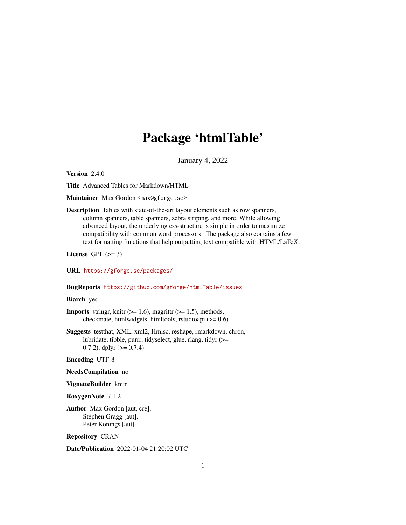# Package 'htmlTable'

January 4, 2022

<span id="page-0-0"></span>Version 2.4.0

Title Advanced Tables for Markdown/HTML

Maintainer Max Gordon <max@gforge.se>

Description Tables with state-of-the-art layout elements such as row spanners, column spanners, table spanners, zebra striping, and more. While allowing advanced layout, the underlying css-structure is simple in order to maximize compatibility with common word processors. The package also contains a few text formatting functions that help outputting text compatible with HTML/LaTeX.

License GPL  $(>= 3)$ 

URL <https://gforge.se/packages/>

#### BugReports <https://github.com/gforge/htmlTable/issues>

# Biarch yes

- **Imports** stringr, knitr  $(>= 1.6)$ , magrittr  $(>= 1.5)$ , methods, checkmate, htmlwidgets, htmltools, rstudioapi (>= 0.6)
- Suggests testthat, XML, xml2, Hmisc, reshape, rmarkdown, chron, lubridate, tibble, purrr, tidyselect, glue, rlang, tidyr (>= 0.7.2), dplyr  $(>= 0.7.4)$

Encoding UTF-8

- NeedsCompilation no
- VignetteBuilder knitr

RoxygenNote 7.1.2

Author Max Gordon [aut, cre], Stephen Gragg [aut], Peter Konings [aut]

Repository CRAN

Date/Publication 2022-01-04 21:20:02 UTC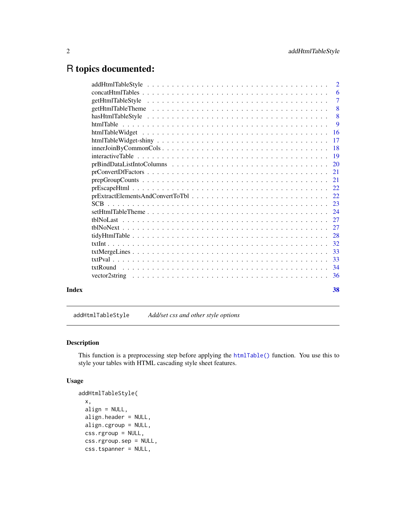# <span id="page-1-0"></span>R topics documented:

|       | $\overline{2}$ |
|-------|----------------|
|       | -6             |
|       | $\overline{7}$ |
|       | $\overline{8}$ |
|       | - 8            |
|       | $\overline{9}$ |
|       |                |
|       |                |
|       |                |
|       |                |
|       |                |
|       |                |
|       |                |
|       |                |
|       |                |
|       |                |
|       |                |
|       |                |
|       |                |
|       |                |
|       |                |
|       |                |
|       |                |
|       |                |
|       |                |
|       |                |
| Index | 38             |

<span id="page-1-1"></span>addHtmlTableStyle *Add/set css and other style options*

# Description

This function is a preprocessing step before applying the [htmlTable\(\)](#page-8-1) function. You use this to style your tables with HTML cascading style sheet features.

#### Usage

```
addHtmlTableStyle(
 x,
 align = NULL,
 align.header = NULL,
 align.cgroup = NULL,
 css.rgroup = NULL,
 css.rgroup.sep = NULL,
 css.tspanner = NULL,
```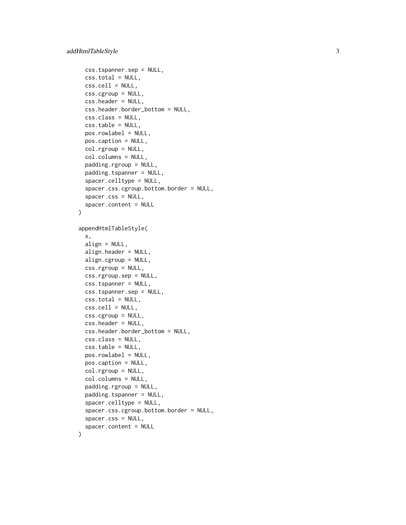```
css.tspanner.sep = NULL,
 css.total = NULL,
 \text{css.cell} = \text{NULL},
 css.cgroup = NULL,
  css.header = NULL,
  css.header.border_bottom = NULL,
  css.class = NULL,
  css.table = NULL,
 pos.rowlabel = NULL,
 pos.caption = NULL,
  col.rgroup = NULL,
  col.columns = NULL,
  padding.rgroup = NULL,
 padding.tspanner = NULL,
  spacer.celltype = NULL,
  spacer.css.cgroup.bottom.border = NULL,
  spacer.css = NULL,
  spacer.content = NULL
\mathcal{L}appendHtmlTableStyle(
  x,
 align = NULL,
  align.header = NULL,
  align.cgroup = NULL,
 css.rgroup = NULL,
  css.rgroup.sep = NULL,
  css.tspanner = NULL,
  css.tspanner.sep = NULL,
 css.total = NULL,
  \text{css}.\text{cell} = \text{NULL},
 css.cgroup = NULL,
 css.header = NULL,
  css.header.border_bottom = NULL,
  css.class = NULL,
  css.table = NULL,
 pos.rowlabel = NULL,
 pos.caption = NULL,
  col.rgroup = NULL,
  col.columns = NULL,
 padding.rgroup = NULL,
 padding.tspanner = NULL,
  spacer.celltype = NULL,
  spacer.css.cgroup.bottom.border = NULL,
  spacer.css = NULL,
  spacer.content = NULL
)
```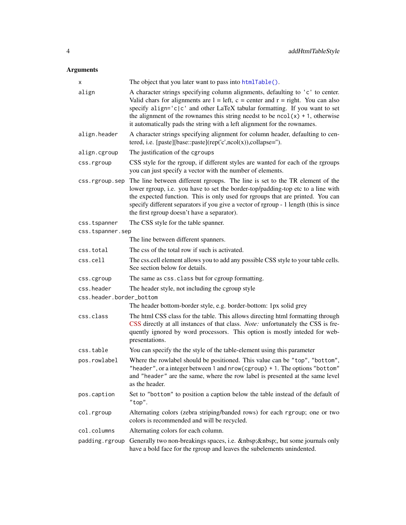# <span id="page-3-0"></span>Arguments

| x                        | The object that you later want to pass into htmlTable().                                                                                                                                                                                                                                                                                                                                                                   |  |
|--------------------------|----------------------------------------------------------------------------------------------------------------------------------------------------------------------------------------------------------------------------------------------------------------------------------------------------------------------------------------------------------------------------------------------------------------------------|--|
| align                    | A character strings specifying column alignments, defaulting to 'c' to center.<br>Valid chars for alignments are $l = left$ , $c = center$ and $r = right$ . You can also<br>specify align= $ c c'$ and other LaTeX tabular formatting. If you want to set<br>the alignment of the rownames this string needst to be $ncol(x) + 1$ , otherwise<br>it automatically pads the string with a left alignment for the rownames. |  |
| align.header             | A character strings specifying alignment for column header, defaulting to cen-<br>tered, i.e. [paste][base::paste](rep('c',ncol(x)),collapse=").                                                                                                                                                                                                                                                                           |  |
| align.cgroup             | The justification of the cgroups                                                                                                                                                                                                                                                                                                                                                                                           |  |
| css.rgroup               | CSS style for the rgroup, if different styles are wanted for each of the rgroups<br>you can just specify a vector with the number of elements.                                                                                                                                                                                                                                                                             |  |
| css.rgroup.sep           | The line between different rgroups. The line is set to the TR element of the<br>lower rgroup, i.e. you have to set the border-top/padding-top etc to a line with<br>the expected function. This is only used for rgroups that are printed. You can<br>specify different separators if you give a vector of rgroup - 1 length (this is since<br>the first rgroup doesn't have a separator).                                 |  |
| css.tspanner             | The CSS style for the table spanner.                                                                                                                                                                                                                                                                                                                                                                                       |  |
| css.tspanner.sep         |                                                                                                                                                                                                                                                                                                                                                                                                                            |  |
|                          | The line between different spanners.                                                                                                                                                                                                                                                                                                                                                                                       |  |
| css.total                | The css of the total row if such is activated.                                                                                                                                                                                                                                                                                                                                                                             |  |
| css.cell                 | The css.cell element allows you to add any possible CSS style to your table cells.<br>See section below for details.                                                                                                                                                                                                                                                                                                       |  |
| css.cgroup               | The same as css.class but for cgroup formatting.                                                                                                                                                                                                                                                                                                                                                                           |  |
| css.header               | The header style, not including the cgroup style                                                                                                                                                                                                                                                                                                                                                                           |  |
| css.header.border_bottom |                                                                                                                                                                                                                                                                                                                                                                                                                            |  |
|                          | The header bottom-border style, e.g. border-bottom: 1px solid grey                                                                                                                                                                                                                                                                                                                                                         |  |
| css.class                | The html CSS class for the table. This allows directing html formatting through<br>CSS directly at all instances of that class. Note: unfortunately the CSS is fre-<br>quently ignored by word processors. This option is mostly inteded for web-<br>presentations.                                                                                                                                                        |  |
| css.table                | You can specify the the style of the table-element using this parameter                                                                                                                                                                                                                                                                                                                                                    |  |
| pos.rowlabel             | Where the rowlabel should be positioned. This value can be "top", "bottom",<br>"header", or a integer between 1 and nrow (cgroup) + 1. The options "bottom"<br>and "header" are the same, where the row label is presented at the same level<br>as the header.                                                                                                                                                             |  |
| pos.caption              | Set to "bottom" to position a caption below the table instead of the default of<br>"top".                                                                                                                                                                                                                                                                                                                                  |  |
| col.rgroup               | Alternating colors (zebra striping/banded rows) for each rgroup; one or two<br>colors is recommended and will be recycled.                                                                                                                                                                                                                                                                                                 |  |
| col.columns              | Alternating colors for each column.                                                                                                                                                                                                                                                                                                                                                                                        |  |
| padding.rgroup           | Generally two non-breakings spaces, i.e.    , but some journals only<br>have a bold face for the rgroup and leaves the subelements unindented.                                                                                                                                                                                                                                                                             |  |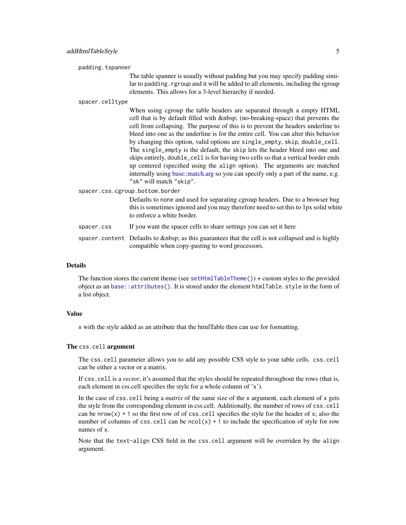<span id="page-4-0"></span>

The table spanner is usually without padding but you may specify padding similar to padding. rgroup and it will be added to all elements, including the rgroup elements. This allows for a 3-level hierarchy if needed.

#### spacer.celltype

When using cgroup the table headers are separated through a empty HTML cell that is by default filled with (no-breaking-space) that prevents the cell from collapsing. The purpose of this is to prevent the headers underline to bleed into one as the underline is for the entire cell. You can alter this behavior by changing this option, valid options are single\_empty, skip, double\_cell. The single\_empty is the default, the skip lets the header bleed into one and skips entirely, double\_cell is for having two cells so that a vertical border ends up centered (specified using the align option). The arguments are matched internally using [base::match.arg](#page-0-0) so you can specify only a part of the name, e.g. "sk" will match "skip".

spacer.css.cgroup.bottom.border

Defaults to none and used for separating cgroup headers. Due to a browser bug this is sometimes ignored and you may therefore need to set this to 1px solid white to enforce a white border.

- spacer.css If you want the spacer cells to share settings you can set it here
- spacer.content Defaults to as this guarantees that the cell is not collapsed and is highly compatible when copy-pasting to word processors.

#### Details

The function stores the current theme (see [setHtmlTableTheme\(\)](#page-23-1)) + custom styles to the provided object as an [base::attributes\(\)](#page-0-0). It is stored under the element htmlTable.style in the form of a list object.

# Value

x with the style added as an attribute that the htmlTable then can use for formatting.

#### The css.cell argument

The css.cell parameter allows you to add any possible CSS style to your table cells. css.cell can be either a vector or a matrix.

If css.cell is a *vector*, it's assumed that the styles should be repeated throughout the rows (that is, each element in css.cell specifies the style for a whole column of 'x').

In the case of css.cell being a *matrix* of the same size of the x argument, each element of x gets the style from the corresponding element in css.cell. Additionally, the number of rows of css.cell can be nrow(x) + 1 so the first row of of css.cell specifies the style for the header of x; also the number of columns of css.cell can be  $ncol(x) + 1$  to include the specification of style for row names of x.

Note that the text-align CSS field in the css.cell argument will be overriden by the align argument.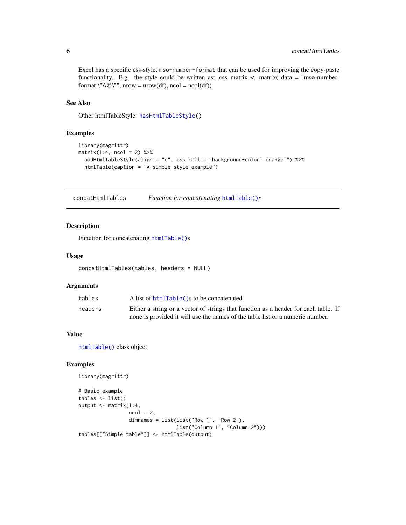Excel has a specific css-style, mso-number-format that can be used for improving the copy-paste functionality. E.g. the style could be written as:  $\text{css_matrix} < \text{matrix}$  (data = "mso-numberformat:\"\\@\"", nrow = nrow(df), ncol = ncol(df))

# See Also

Other htmlTableStyle: [hasHtmlTableStyle\(](#page-7-1))

#### Examples

```
library(magrittr)
matrix(1:4, ncol = 2) %>%
  addHtmlTableStyle(align = "c", css.cell = "background-color: orange;") %>%
  htmlTable(caption = "A simple style example")
```
concatHtmlTables *Function for concatenating* [htmlTable\(\)](#page-8-1)*s*

# Description

Function for concatenating [htmlTable\(\)](#page-8-1)s

# Usage

```
concatHtmlTables(tables, headers = NULL)
```
# Arguments

| tables  | A list of htmlTable() s to be concatenated                                          |
|---------|-------------------------------------------------------------------------------------|
| headers | Either a string or a vector of strings that function as a header for each table. If |
|         | none is provided it will use the names of the table list or a numeric number.       |

# Value

[htmlTable\(\)](#page-8-1) class object

# Examples

```
library(magrittr)
```

```
# Basic example
tables <- list()
output <- matrix(1:4,
                 ncol = 2,
                 dimnames = list(list("Row 1", "Row 2"),
                                 list("Column 1", "Column 2")))
tables[["Simple table"]] <- htmlTable(output)
```
<span id="page-5-0"></span>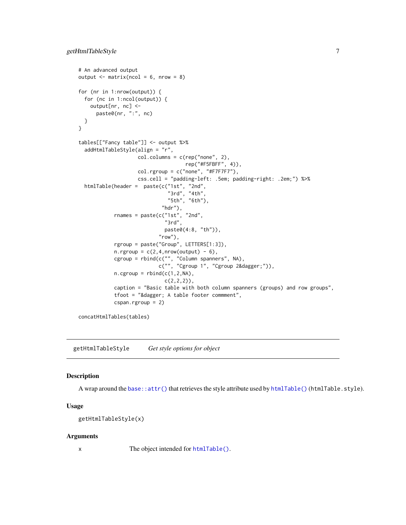```
# An advanced output
output \leq matrix(ncol = 6, nrow = 8)
for (nr in 1:nrow(output)) {
  for (nc in 1:ncol(output)) {
    output[nr, nc] <-
      paste0(nr, ":", nc)
  }
}
tables[["Fancy table"]] <- output %>%
  addHtmlTableStyle(align = "r",
                    col.columes = c(rep("none", 2),rep("#F5FBFF", 4)),
                    col.rgroup = c("none", "#F7F7F7"),
                    css.cell = "padding-left: .5em; padding-right: .2em;") %>%
  htmlTable(header = paste(c("1st", "2nd",
                              "3rd", "4th",
                              "5th", "6th"),
                            "\mathsf{hdr}"),
            rnames = paste(c("1st", "2nd",
                             "3rd",
                             paste0(4:8, "th")),
                           "row"),
            rgroup = paste("Group", LETTERS[1:3]),
            n.rgroup = c(2, 4, nrow(output) - 6),cgroup = rbind(c("", "Column spanners", NA),
                           c("", "Cgroup 1", "Cgroup 2†")),
            n.cgroup = rbind(c(1, 2, NA)),c(2,2,2),
            caption = "Basic table with both column spanners (groups) and row groups",
            tfoot = "† A table footer commment",
            cspan.rgroup = 2)
```
concatHtmlTables(tables)

getHtmlTableStyle *Get style options for object*

#### Description

A wrap around the [base::attr\(\)](#page-0-0) that retrieves the style attribute used by [htmlTable\(\)](#page-8-1) (htmlTable.style).

## Usage

```
getHtmlTableStyle(x)
```
#### Arguments

x The object intended for [htmlTable\(\)](#page-8-1).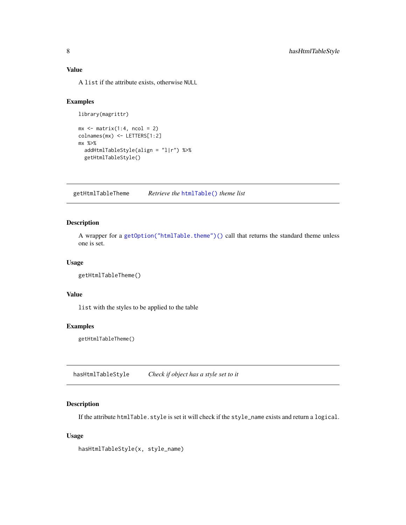# <span id="page-7-0"></span>Value

A list if the attribute exists, otherwise NULL

# Examples

```
library(magrittr)
```

```
mx \leq -\text{matrix}(1:4, \text{ncol} = 2)colnames(mx) <- LETTERS[1:2]
mx %>%
  addHtmlTableStyle(align = "l|r") %>%
  getHtmlTableStyle()
```
getHtmlTableTheme *Retrieve the* [htmlTable\(\)](#page-8-1) *theme list*

# Description

A wrapper for a [getOption\("htmlTable.theme"\)\(\)](#page-0-0) call that returns the standard theme unless one is set.

# Usage

```
getHtmlTableTheme()
```
#### Value

list with the styles to be applied to the table

# Examples

getHtmlTableTheme()

<span id="page-7-1"></span>hasHtmlTableStyle *Check if object has a style set to it*

# Description

If the attribute htmlTable.style is set it will check if the style\_name exists and return a logical.

#### Usage

```
hasHtmlTableStyle(x, style_name)
```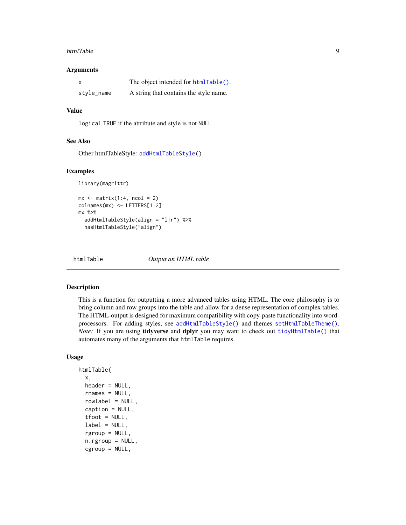#### <span id="page-8-0"></span>htmlTable 9

#### Arguments

|            | The object intended for htmlTable().   |
|------------|----------------------------------------|
| style_name | A string that contains the style name. |

# Value

logical TRUE if the attribute and style is not NULL

#### See Also

Other htmlTableStyle: [addHtmlTableStyle\(](#page-1-1))

#### Examples

library(magrittr)

```
mx \le matrix(1:4, ncol = 2)
colnames(mx) <- LETTERS[1:2]
mx %>%
  addHtmlTableStyle(align = "l|r") %>%
  hasHtmlTableStyle("align")
```
<span id="page-8-1"></span>

htmlTable *Output an HTML table*

#### Description

This is a function for outputting a more advanced tables using HTML. The core philosophy is to bring column and row groups into the table and allow for a dense representation of complex tables. The HTML-output is designed for maximum compatibility with copy-paste functionality into wordprocessors. For adding styles, see [addHtmlTableStyle\(\)](#page-1-1) and themes [setHtmlTableTheme\(\)](#page-23-1). *Note:* If you are using *tidyverse* and *dplyr* you may want to check out *[tidyHtmlTable\(\)](#page-27-1)* that automates many of the arguments that htmlTable requires.

# Usage

```
htmlTable(
  x,
  header = NULL,rnames = NULL,
  rowlabel = NULL,
  caption = NULL,
  tfoot = NULL,
  label = NULL,
  rgroup = NULL,n.rgroup = NULL,
  cgroup = NULL,
```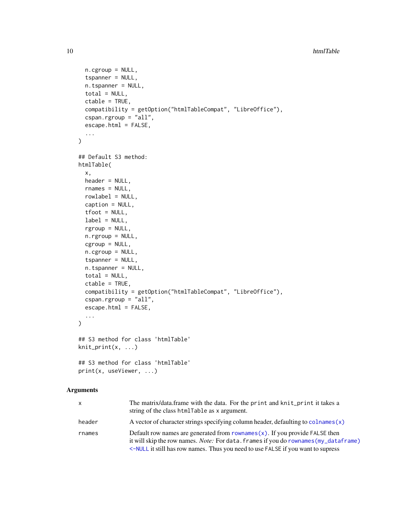```
n.cgroup = NULL,
  tspanner = NULL,
  n.tspanner = NULL,
  total = NULL,ctable = TRUE,
  compatibility = getOption("htmlTableCompat", "LibreOffice"),
  cspan.rgroup = "all",
  escape.html = FALSE,
  ...
)
## Default S3 method:
htmlTable(
 x,
 header = NULL,
  rnames = NULL,
  rowlabel = NULL,
  caption = NULL,
  tfoot = NULL,
  label = NULL,
  rgroup = NULL,
  n.rgroup = NULL,
  cgroup = NULL,
  n.cgroup = NULL,
  tspanner = NULL,
  n.tspanner = NULL,
  total = NULL,ctable = TRUE,
  compatibility = getOption("htmlTableCompat", "LibreOffice"),
  cspan.rgroup = "all",
  escape.html = FALSE,
  ...
\mathcal{L}## S3 method for class 'htmlTable'
knit_print(x, \ldots)## S3 method for class 'htmlTable'
print(x, useViewer, ...)
```
# Arguments

| <b>X</b> | The matrix/data. frame with the data. For the print and knit_print it takes a<br>string of the class htmlTable as x argument.                                                                                                                              |
|----------|------------------------------------------------------------------------------------------------------------------------------------------------------------------------------------------------------------------------------------------------------------|
| header   | A vector of character strings specifying column header, defaulting to colnames $(x)$                                                                                                                                                                       |
| rnames   | Default row names are generated from $rownames(x)$ . If you provide FALSE then<br>it will skip the row names. Note: For data. frames if you do rownames (my_dataframe)<br><-NULL it still has row names. Thus you need to use FALSE if you want to supress |

<span id="page-9-0"></span>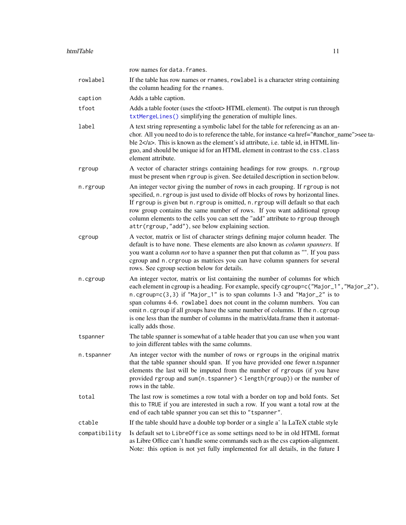<span id="page-10-0"></span>

|               | row names for data. frames.                                                                                                                                                                                                                                                                                                                                                                                                                                                                                                  |
|---------------|------------------------------------------------------------------------------------------------------------------------------------------------------------------------------------------------------------------------------------------------------------------------------------------------------------------------------------------------------------------------------------------------------------------------------------------------------------------------------------------------------------------------------|
| rowlabel      | If the table has row names or rnames, rowlabel is a character string containing<br>the column heading for the rnames.                                                                                                                                                                                                                                                                                                                                                                                                        |
| caption       | Adds a table caption.                                                                                                                                                                                                                                                                                                                                                                                                                                                                                                        |
| tfoot         | Adds a table footer (uses the <tfoot>HTML element). The output is run through<br/>txtMergeLines() simplifying the generation of multiple lines.</tfoot>                                                                                                                                                                                                                                                                                                                                                                      |
| label         | A text string representing a symbolic label for the table for referencing as an an-<br>chor. All you need to do is to reference the table, for instance <a href="#anchor_name">see ta-<br/>ble <math>2 &lt; l \infty</math>. This is known as the element's id attribute, i.e. table id, in HTML lin-<br/>guo, and should be unique id for an HTML element in contrast to the css. class<br/>element attribute.</a>                                                                                                          |
| rgroup        | A vector of character strings containing headings for row groups. n. rgroup<br>must be present when rgroup is given. See detailed description in section below.                                                                                                                                                                                                                                                                                                                                                              |
| n.rgroup      | An integer vector giving the number of rows in each grouping. If rgroup is not<br>specified, n. rgroup is just used to divide off blocks of rows by horizontal lines.<br>If rgroup is given but n. rgroup is omitted, n. rgroup will default so that each<br>row group contains the same number of rows. If you want additional rgroup<br>column elements to the cells you can sett the "add" attribute to rgroup through<br>attr(rgroup,"add"), see below explaining section.                                               |
| cgroup        | A vector, matrix or list of character strings defining major column header. The<br>default is to have none. These elements are also known as column spanners. If<br>you want a column <i>not</i> to have a spanner then put that column as "". If you pass<br>cgroup and n. crgroup as matrices you can have column spanners for several<br>rows. See cgroup section below for details.                                                                                                                                      |
| n.cgroup      | An integer vector, matrix or list containing the number of columns for which<br>each element in cgroup is a heading. For example, specify cgroup=c("Major_1", "Major_2"),<br>n.cgroup=c(3,3) if "Major_1" is to span columns 1-3 and "Major_2" is to<br>span columns 4-6. rowlabel does not count in the column numbers. You can<br>omit n. cgroup if all groups have the same number of columns. If the n. cgroup<br>is one less than the number of columns in the matrix/data.frame then it automat-<br>ically adds those. |
| tspanner      | The table spanner is somewhat of a table header that you can use when you want<br>to join different tables with the same columns.                                                                                                                                                                                                                                                                                                                                                                                            |
| n.tspanner    | An integer vector with the number of rows or rgroups in the original matrix<br>that the table spanner should span. If you have provided one fewer n.tspanner<br>elements the last will be imputed from the number of rgroups (if you have<br>provided rgroup and sum(n.tspanner) < length(rgroup)) or the number of<br>rows in the table.                                                                                                                                                                                    |
| total         | The last row is sometimes a row total with a border on top and bold fonts. Set<br>this to TRUE if you are interested in such a row. If you want a total row at the<br>end of each table spanner you can set this to "tspanner".                                                                                                                                                                                                                                                                                              |
| ctable        | If the table should have a double top border or a single a' la LaTeX ctable style                                                                                                                                                                                                                                                                                                                                                                                                                                            |
| compatibility | Is default set to LibreOffice as some settings need to be in old HTML format<br>as Libre Office can't handle some commands such as the css caption-alignment.<br>Note: this option is not yet fully implemented for all details, in the future I                                                                                                                                                                                                                                                                             |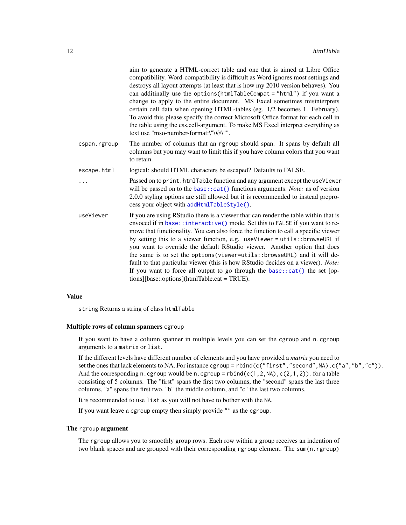<span id="page-11-0"></span>

|              | aim to generate a HTML-correct table and one that is aimed at Libre Office<br>compatibility. Word-compatibility is difficult as Word ignores most settings and<br>destroys all layout attempts (at least that is how my 2010 version behaves). You<br>can additinally use the options (htmlTableCompat = "html") if you want a<br>change to apply to the entire document. MS Excel sometimes misinterprets<br>certain cell data when opening HTML-tables (eg. 1/2 becomes 1. February).<br>To avoid this please specify the correct Microsoft Office format for each cell in<br>the table using the css.cell-argument. To make MS Excel interpret everything as<br>text use "mso-number-format:\"\@\"".                 |
|--------------|-------------------------------------------------------------------------------------------------------------------------------------------------------------------------------------------------------------------------------------------------------------------------------------------------------------------------------------------------------------------------------------------------------------------------------------------------------------------------------------------------------------------------------------------------------------------------------------------------------------------------------------------------------------------------------------------------------------------------|
| cspan.rgroup | The number of columns that an rgroup should span. It spans by default all<br>columns but you may want to limit this if you have column colors that you want<br>to retain.                                                                                                                                                                                                                                                                                                                                                                                                                                                                                                                                               |
| escape.html  | logical: should HTML characters be escaped? Defaults to FALSE.                                                                                                                                                                                                                                                                                                                                                                                                                                                                                                                                                                                                                                                          |
| .            | Passed on to print.htmlTable function and any argument except the useViewer<br>will be passed on to the base:: $cat()$ functions arguments. <i>Note:</i> as of version<br>2.0.0 styling options are still allowed but it is recommended to instead prepro-<br>cess your object with addHtmlTableStyle().                                                                                                                                                                                                                                                                                                                                                                                                                |
| useViewer    | If you are using RStudio there is a viewer thar can render the table within that is<br>envoced if in base::interactive() mode. Set this to FALSE if you want to re-<br>move that functionality. You can also force the function to call a specific viewer<br>by setting this to a viewer function, e.g. useViewer = utils: : browseURL if<br>you want to override the default RStudio viewer. Another option that does<br>the same is to set the options (viewer=utils::browseURL) and it will de-<br>fault to that particular viewer (this is how RStudio decides on a viewer). Note:<br>If you want to force all output to go through the base:: $cat()$ the set [op-<br>tions][base::options](htmlTable.cat = TRUE). |

# Value

string Returns a string of class htmlTable

# Multiple rows of column spanners cgroup

If you want to have a column spanner in multiple levels you can set the cgroup and n.cgroup arguments to a matrix or list.

If the different levels have different number of elements and you have provided a *matrix* you need to set the ones that lack elements to NA. For instance cgroup = rbind(c("first", "second",NA),c("a","b","c")). And the corresponding n.cgroup would be n.cgroup = rbind(c(1,2,NA),c(2,1,2)). for a table consisting of 5 columns. The "first" spans the first two columns, the "second" spans the last three columns, "a" spans the first two, "b" the middle column, and "c" the last two columns.

It is recommended to use list as you will not have to bother with the NA.

If you want leave a cgroup empty then simply provide "" as the cgroup.

#### The rgroup argument

The rgroup allows you to smoothly group rows. Each row within a group receives an indention of two blank spaces and are grouped with their corresponding rgroup element. The sum(n.rgroup)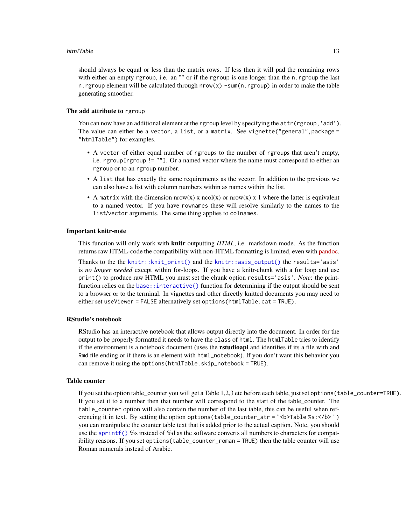#### <span id="page-12-0"></span>htmlTable 13

should always be equal or less than the matrix rows. If less then it will pad the remaining rows with either an empty rgroup, i.e. an "" or if the rgroup is one longer than the n. rgroup the last n. rgroup element will be calculated through  $nrow(x)$  -sum(n. rgroup) in order to make the table generating smoother.

#### The add attribute to rgroup

You can now have an additional element at the rgroup level by specifying the attr(rgroup, 'add'). The value can either be a vector, a list, or a matrix. See vignette("general", package = "htmlTable") for examples.

- A vector of either equal number of rgroups to the number of rgroups that aren't empty, i.e. rgroup[rgroup != ""]. Or a named vector where the name must correspond to either an rgroup or to an rgroup number.
- A list that has exactly the same requirements as the vector. In addition to the previous we can also have a list with column numbers within as names within the list.
- A matrix with the dimension nrow(x) x ncol(x) or nrow(x) x 1 where the latter is equivalent to a named vector. If you have rownames these will resolve similarly to the names to the list/vector arguments. The same thing applies to colnames.

#### Important knitr-note

This function will only work with knitr outputting *HTML*, i.e. markdown mode. As the function returns raw HTML-code the compatibility with non-HTML formatting is limited, even with [pandoc.](https://pandoc.org/)

Thanks to the the [knitr::knit\\_print\(\)](#page-0-0) and the [knitr::asis\\_output\(\)](#page-0-0) the results='asis' is *no longer needed* except within for-loops. If you have a knitr-chunk with a for loop and use print() to produce raw HTML you must set the chunk option results='asis'. *Note*: the printfunction relies on the [base::interactive\(\)](#page-0-0) function for determining if the output should be sent to a browser or to the terminal. In vignettes and other directly knitted documents you may need to either set useViewer = FALSE alternatively set options(htmlTable.cat = TRUE).

#### RStudio's notebook

RStudio has an interactive notebook that allows output directly into the document. In order for the output to be properly formatted it needs to have the class of html. The htmlTable tries to identify if the environment is a notebook document (uses the **rstudioapi** and identifies if its a file with and Rmd file ending or if there is an element with html\_notebook). If you don't want this behavior you can remove it using the options(htmlTable.skip\_notebook = TRUE).

#### Table counter

If you set the option table\_counter you will get a Table 1,2,3 etc before each table, just set options(table\_counter=TRUE). If you set it to a number then that number will correspond to the start of the table\_counter. The table\_counter option will also contain the number of the last table, this can be useful when referencing it in text. By setting the option options (table\_counter\_str = "<br/>b>Table %s: </b>") you can manipulate the counter table text that is added prior to the actual caption. Note, you should use the [sprintf\(\)](#page-0-0) %s instead of %d as the software converts all numbers to characters for compatibility reasons. If you set options(table\_counter\_roman = TRUE) then the table counter will use Roman numerals instead of Arabic.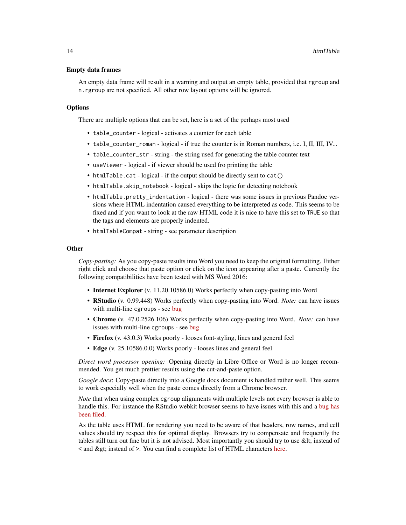#### Empty data frames

An empty data frame will result in a warning and output an empty table, provided that rgroup and n.rgroup are not specified. All other row layout options will be ignored.

#### **Options**

There are multiple options that can be set, here is a set of the perhaps most used

- table\_counter logical activates a counter for each table
- table\_counter\_roman logical if true the counter is in Roman numbers, i.e. I, II, III, IV...
- table\_counter\_str string the string used for generating the table counter text
- useViewer logical if viewer should be used fro printing the table
- htmlTable.cat logical if the output should be directly sent to cat()
- htmlTable.skip\_notebook logical skips the logic for detecting notebook
- htmlTable.pretty\_indentation logical there was some issues in previous Pandoc versions where HTML indentation caused everything to be interpreted as code. This seems to be fixed and if you want to look at the raw HTML code it is nice to have this set to TRUE so that the tags and elements are properly indented.
- htmlTableCompat string see parameter description

#### **Other**

*Copy-pasting:* As you copy-paste results into Word you need to keep the original formatting. Either right click and choose that paste option or click on the icon appearing after a paste. Currently the following compatibilities have been tested with MS Word 2016:

- Internet Explorer (v. 11.20.10586.0) Works perfectly when copy-pasting into Word
- RStudio (v. 0.99.448) Works perfectly when copy-pasting into Word. *Note:* can have issues with multi-line cgroups - see [bug](https://bugs.chromium.org/p/chromium/issues/detail?id=305130)
- Chrome (v. 47.0.2526.106) Works perfectly when copy-pasting into Word. *Note:* can have issues with multi-line cgroups - see [bug](https://bugs.chromium.org/p/chromium/issues/detail?id=305130)
- Firefox (v. 43.0.3) Works poorly looses font-styling, lines and general feel
- Edge (v. 25.10586.0.0) Works poorly looses lines and general feel

*Direct word processor opening:* Opening directly in Libre Office or Word is no longer recommended. You get much prettier results using the cut-and-paste option.

*Google docs*: Copy-paste directly into a Google docs document is handled rather well. This seems to work especially well when the paste comes directly from a Chrome browser.

*Note* that when using complex cgroup alignments with multiple levels not every browser is able to handle this. For instance the RStudio webkit browser seems to have issues with this and a [bug has](https://bugs.chromium.org/p/chromium/issues/detail?id=305130) [been filed.](https://bugs.chromium.org/p/chromium/issues/detail?id=305130)

As the table uses HTML for rendering you need to be aware of that headers, row names, and cell values should try respect this for optimal display. Browsers try to compensate and frequently the tables still turn out fine but it is not advised. Most importantly you should try to use & lt; instead of < and &gt; instead of >. You can find a complete list of HTML characters [here.](https://ascii.cl/htmlcodes.htm)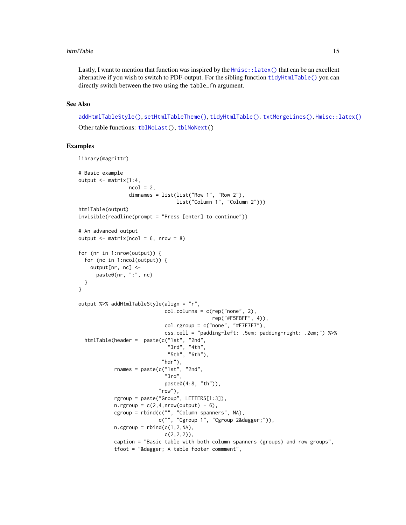#### <span id="page-14-0"></span>htmlTable 15

Lastly, I want to mention that function was inspired by the  $Hmisc$ : latex() that can be an excellent alternative if you wish to switch to PDF-output. For the sibling function [tidyHtmlTable\(\)](#page-27-1) you can directly switch between the two using the table\_fn argument.

# See Also

[addHtmlTableStyle\(\)](#page-1-1), [setHtmlTableTheme\(\)](#page-23-1), [tidyHtmlTable\(\)](#page-27-1). [txtMergeLines\(\)](#page-32-1), [Hmisc::latex\(\)](#page-0-0) Other table functions: [tblNoLast\(](#page-26-1)), [tblNoNext\(](#page-26-2))

# Examples

```
library(magrittr)
# Basic example
output <- matrix(1:4,
                 ncol = 2.
                 dimnames = list(list("Row 1", "Row 2"),
                                 list("Column 1", "Column 2")))
htmlTable(output)
invisible(readline(prompt = "Press [enter] to continue"))
# An advanced output
output \leq matrix(ncol = 6, nrow = 8)
for (nr in 1:nrow(output)) {
 for (nc in 1:ncol(output)) {
   output[nr, nc] <-
     paste0(nr, ":", nc)
 }
}
output %>% addHtmlTableStyle(align = "r",
                             col.columns = c(rep("none", 2),
                                             rep("#F5FBFF", 4)),
                             col.rgroup = c("none", "#F7F7F7"),
                             css.cell = "padding-left: .5em; padding-right: .2em;") %>%
 htmlTable(header = paste(c("1st", "2nd",
                              "3rd", "4th",
                              "5th", "6th"),
                            "\mathsf{hdr}"),
            rnames = paste(c("1st", "2nd","3rd",
                             paste0(4:8, "th")),
                           "row"),
            rgroup = paste("Group", LETTERS[1:3]),
            n.rgroup = c(2, 4, nrow(output) - 6),
            cgroup = rbind(c("", "Column spanners", NA),
                           c("", "Cgroup 1", "Cgroup 2†")),
            n.cgroup = rbind(c(1, 2, NA)),c(2,2,2),
            caption = "Basic table with both column spanners (groups) and row groups",
            tfoot = "dagger; A table footer commment",
```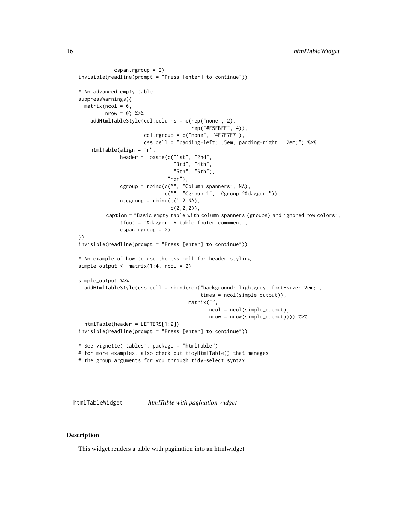```
cspan.rgroup = 2)
invisible(readline(prompt = "Press [enter] to continue"))
# An advanced empty table
suppressWarnings({
 matrix(ncol = 6,nrow = 0) %>%
    addHtmlTableStyle(col.columns = c(rep("none", 2),
                                      rep("#F5FBFF", 4)),
                      col.rgroup = c("none", "#F7F7F7"),css.cell = "padding-left: .5em; padding-right: .2em;") %>%
   htmlTable(align = "r",
             header = pastec("1st", "2nd")"3rd", "4th",
                                "5th", "6th"),
                              "hdr"),
              cgroup = rbind(c("", "Column spanners", NA),
                             c("", "Cgroup 1", "Cgroup 2†")),
              n.cgroup = rbind(c(1, 2, NA)),c(2,2,2),
         caption = "Basic empty table with column spanners (groups) and ignored row colors",
              tfoot = "dagger; A table footer comment",cspan.rgroup = 2)
})
invisible(readline(prompt = "Press [enter] to continue"))
# An example of how to use the css.cell for header styling
simple_output \leq matrix(1:4, ncol = 2)
simple_output %>%
 addHtmlTableStyle(css.cell = rbind(rep("background: lightgrey; font-size: 2em;",
                                         times = ncol(simple_output)),
                                     matrix("",
                                            ncol = ncol(simple_output),
                                            nrow = nrow(simple_output)))) %>%
 htmlTable(header = LETTERS[1:2])
invisible(readline(prompt = "Press [enter] to continue"))
# See vignette("tables", package = "htmlTable")
# for more examples, also check out tidyHtmlTable() that manages
```
# the group arguments for you through tidy-select syntax

<span id="page-15-1"></span>htmlTableWidget *htmlTable with pagination widget*

#### Description

This widget renders a table with pagination into an htmlwidget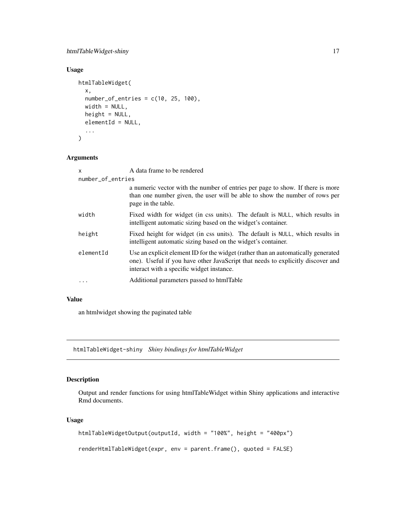# <span id="page-16-0"></span>htmlTableWidget-shiny 17

# Usage

```
htmlTableWidget(
  x,
 number_of_entries = c(10, 25, 100),width = NULL,
 height = NULL,elementId = NULL,...
\mathcal{L}
```
# Arguments

| $\mathsf{x}$      | A data frame to be rendered                                                                                                                                                                                       |  |
|-------------------|-------------------------------------------------------------------------------------------------------------------------------------------------------------------------------------------------------------------|--|
| number_of_entries |                                                                                                                                                                                                                   |  |
|                   | a numeric vector with the number of entries per page to show. If there is more<br>than one number given, the user will be able to show the number of rows per<br>page in the table.                               |  |
| width             | Fixed width for widget (in css units). The default is NULL, which results in<br>intelligent automatic sizing based on the widget's container.                                                                     |  |
| height            | Fixed height for widget (in css units). The default is NULL, which results in<br>intelligent automatic sizing based on the widget's container.                                                                    |  |
| elementId         | Use an explicit element ID for the widget (rather than an automatically generated<br>one). Useful if you have other JavaScript that needs to explicitly discover and<br>interact with a specific widget instance. |  |
| $\cdots$          | Additional parameters passed to htmlTable                                                                                                                                                                         |  |

# Value

an htmlwidget showing the paginated table

htmlTableWidget-shiny *Shiny bindings for htmlTableWidget*

# Description

Output and render functions for using htmlTableWidget within Shiny applications and interactive Rmd documents.

# Usage

```
htmlTableWidgetOutput(outputId, width = "100%", height = "400px")
renderHtmlTableWidget(expr, env = parent.frame(), quoted = FALSE)
```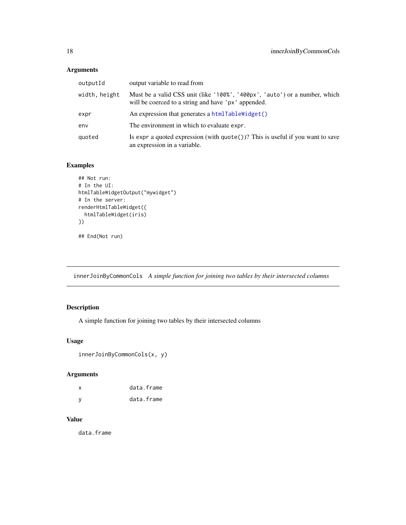# <span id="page-17-0"></span>Arguments

| output variable to read from                                                                                                      |
|-----------------------------------------------------------------------------------------------------------------------------------|
| Must be a valid CSS unit (like '100%', '400px', 'auto') or a number, which<br>will be coerced to a string and have 'px' appended. |
| An expression that generates a htmlTableWidget()                                                                                  |
| The environment in which to evaluate expr.                                                                                        |
| Is expr a quoted expression (with $\text{quote}()$ )? This is useful if you want to save<br>an expression in a variable.          |
|                                                                                                                                   |

# Examples

```
## Not run:
# In the UI:
htmlTableWidgetOutput("mywidget")
# In the server:
renderHtmlTableWidget({
  htmlTableWidget(iris)
})
## End(Not run)
```
innerJoinByCommonCols *A simple function for joining two tables by their intersected columns*

# Description

A simple function for joining two tables by their intersected columns

# Usage

```
innerJoinByCommonCols(x, y)
```
# Arguments

| x   | data.frame |
|-----|------------|
| - V | data.frame |

# Value

data.frame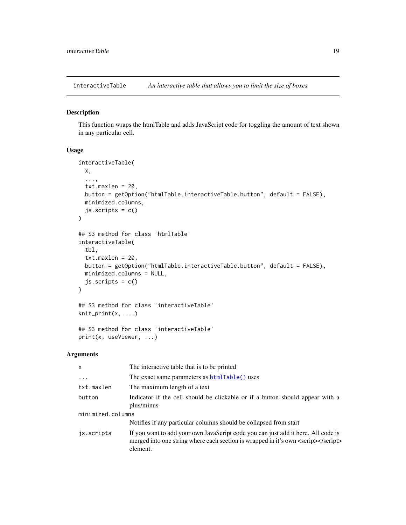<span id="page-18-0"></span>interactiveTable *An interactive table that allows you to limit the size of boxes*

# Description

This function wraps the htmlTable and adds JavaScript code for toggling the amount of text shown in any particular cell.

#### Usage

```
interactiveTable(
  x,
  ...,
  txt.maxlen = 20,
 button = getOption("htmlTable.interactiveTable.button", default = FALSE),
 minimized.columns,
  js.scripts = c()
\mathcal{L}## S3 method for class 'htmlTable'
interactiveTable(
  tbl,
  txt.maxlen = 20,
  button = getOption("htmlTable.interactiveTable.button", default = FALSE),
 minimized.columns = NULL,
  js.scripts = c()\lambda## S3 method for class 'interactiveTable'
knit_print(x, \ldots)## S3 method for class 'interactiveTable'
print(x, useViewer, ...)
```
# Arguments

| $\mathsf{x}$      | The interactive table that is to be printed                                                                                                                                        |  |
|-------------------|------------------------------------------------------------------------------------------------------------------------------------------------------------------------------------|--|
| $\ddots$          | The exact same parameters as htmlTable() uses                                                                                                                                      |  |
| txt.maxlen        | The maximum length of a text                                                                                                                                                       |  |
| button            | Indicator if the cell should be clickable or if a button should appear with a<br>plus/minus                                                                                        |  |
| minimized.columns |                                                                                                                                                                                    |  |
|                   | Notifies if any particular columns should be collapsed from start                                                                                                                  |  |
| is.scripts        | If you want to add your own JavaScript code you can just add it here. All code is<br>merged into one string where each section is wrapped in it's own <scrip><br/>element.</scrip> |  |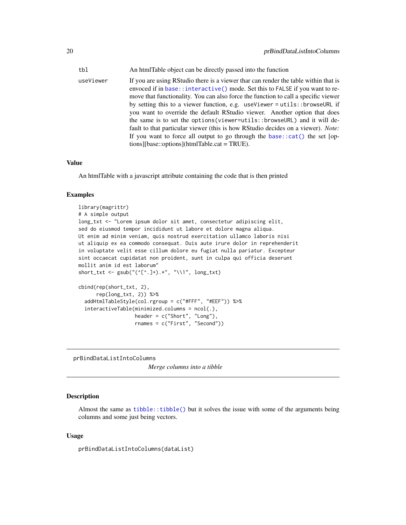<span id="page-19-0"></span>tbl An htmlTable object can be directly passed into the function

useViewer If you are using RStudio there is a viewer thar can render the table within that is envoced if in [base::interactive\(\)](#page-0-0) mode. Set this to FALSE if you want to remove that functionality. You can also force the function to call a specific viewer by setting this to a viewer function, e.g. useViewer = utils::browseURL if you want to override the default RStudio viewer. Another option that does the same is to set the options(viewer=utils::browseURL) and it will default to that particular viewer (this is how RStudio decides on a viewer). *Note:* If you want to force all output to go through the base:: $cat()$  the set [options][base::options](htmlTable.cat = TRUE).

#### Value

An htmlTable with a javascript attribute containing the code that is then printed

#### Examples

```
library(magrittr)
# A simple output
long_txt <- "Lorem ipsum dolor sit amet, consectetur adipiscing elit,
sed do eiusmod tempor incididunt ut labore et dolore magna aliqua.
Ut enim ad minim veniam, quis nostrud exercitation ullamco laboris nisi
ut aliquip ex ea commodo consequat. Duis aute irure dolor in reprehenderit
in voluptate velit esse cillum dolore eu fugiat nulla pariatur. Excepteur
sint occaecat cupidatat non proident, sunt in culpa qui officia deserunt
mollit anim id est laborum"
short_txt <- gsub("(^c[^c.]+).*", "\\1", long.txt)cbind(rep(short_txt, 2),
     rep(long_txt, 2)) %>%
 addHtmlTableStyle(col.rgroup = c("#FFF", "#EEF")) %>%
 interactiveTable(minimized.columns = ncol(.),
                  header = c("Short", "Long"),
                   rnames = c("First", "Second"))
```
prBindDataListIntoColumns

*Merge columns into a tibble*

#### Description

Almost the same as  $t_{\text{libble}}:t_{\text{libble}}()$  but it solves the issue with some of the arguments being columns and some just being vectors.

#### Usage

prBindDataListIntoColumns(dataList)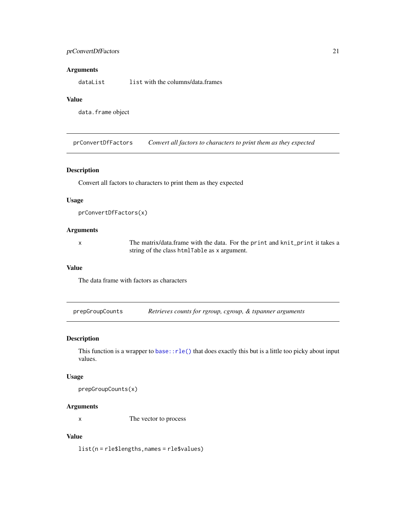# <span id="page-20-0"></span>prConvertDfFactors 21

# Arguments

dataList list with the columns/data.frames

# Value

data.frame object

prConvertDfFactors *Convert all factors to characters to print them as they expected*

# Description

Convert all factors to characters to print them as they expected

# Usage

```
prConvertDfFactors(x)
```
# Arguments

x The matrix/data.frame with the data. For the print and knit\_print it takes a string of the class htmlTable as x argument.

#### Value

The data frame with factors as characters

prepGroupCounts *Retrieves counts for rgroup, cgroup, & tspanner arguments*

# Description

This function is a wrapper to base:  $rle()$  that does exactly this but is a little too picky about input values.

# Usage

prepGroupCounts(x)

# Arguments

x The vector to process

# Value

list(n = rle\$lengths,names = rle\$values)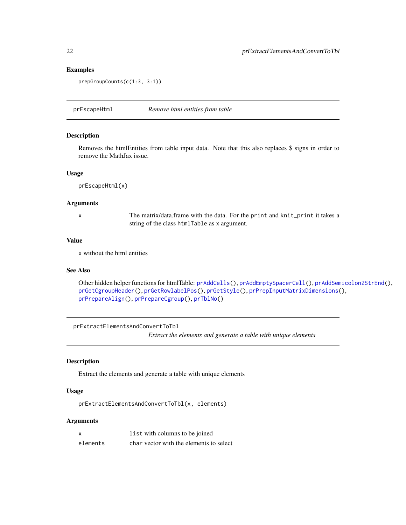# Examples

```
prepGroupCounts(c(1:3, 3:1))
```
prEscapeHtml *Remove html entities from table*

# Description

Removes the htmlEntities from table input data. Note that this also replaces \$ signs in order to remove the MathJax issue.

# Usage

prEscapeHtml(x)

# Arguments

x The matrix/data.frame with the data. For the print and knit\_print it takes a string of the class htmlTable as x argument.

# Value

x without the html entities

# See Also

Other hidden helper functions for htmlTable: [prAddCells\(](#page-0-0)), [prAddEmptySpacerCell\(](#page-0-0)), [prAddSemicolon2StrEnd\(](#page-0-0)), [prGetCgroupHeader\(](#page-0-0)), [prGetRowlabelPos\(](#page-0-0)), [prGetStyle\(](#page-0-0)), [prPrepInputMatrixDimensions\(](#page-0-0)), [prPrepareAlign\(](#page-0-0)), [prPrepareCgroup\(](#page-0-0)), [prTblNo\(](#page-0-0))

```
prExtractElementsAndConvertToTbl
```
*Extract the elements and generate a table with unique elements*

# Description

Extract the elements and generate a table with unique elements

# Usage

```
prExtractElementsAndConvertToTbl(x, elements)
```
#### Arguments

| $\mathbf{x}$ | list with columns to be joined          |
|--------------|-----------------------------------------|
| elements     | char vector with the elements to select |

<span id="page-21-0"></span>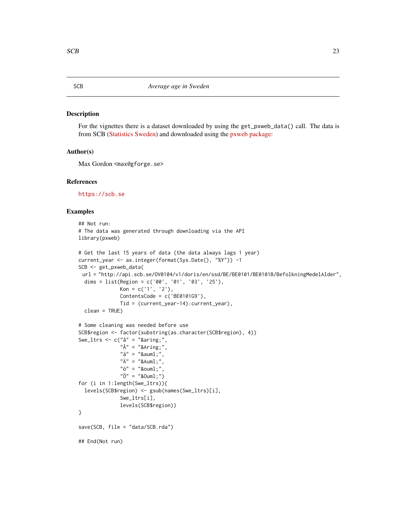#### <span id="page-22-0"></span>Description

For the vignettes there is a dataset downloaded by using the get\_pxweb\_data() call. The data is from SCB [\(Statistics Sweden\)](https://scb.se/) and downloaded using the [pxweb package:](https://github.com/rOpenGov/pxweb)

#### Author(s)

Max Gordon <max@gforge.se>

#### References

<https://scb.se>

# Examples

```
## Not run:
# The data was generated through downloading via the API
library(pxweb)
# Get the last 15 years of data (the data always lags 1 year)
current_year <- as.integer(format(Sys.Date(), "%Y")) -1
SCB <- get_pxweb_data(
 url = "http://api.scb.se/OV0104/v1/doris/en/ssd/BE/BE0101/BE0101B/BefolkningMedelAlder",
 dims = list(Region = c('00', '01', '03', '25'),
              Kon = c('1', '2'),ContentsCode = c('BE0101G9'),
              Tid = (current_year-14):current_year),
  clean = TRUE)
# Some cleaning was needed before use
SCB$region <- factor(substring(as.character(SCB$region), 4))
Swe_ltrs \leq c("å" = "å",
               "^{\text{A}}" = "&\text{Aring};","ä" = "&sum1;","\tilde{A}" = "&Aum1;","ö" = "\text{\text{\texttt{Round}}};",
               "\ddot{0}" = "80um1;")for (i in 1:length(Swe_ltrs)){
  levels(SCB$region) <- gsub(names(Swe_ltrs)[i],
              Swe_ltrs[i],
              levels(SCB$region))
}
save(SCB, file = "data/SCB.rda")
## End(Not run)
```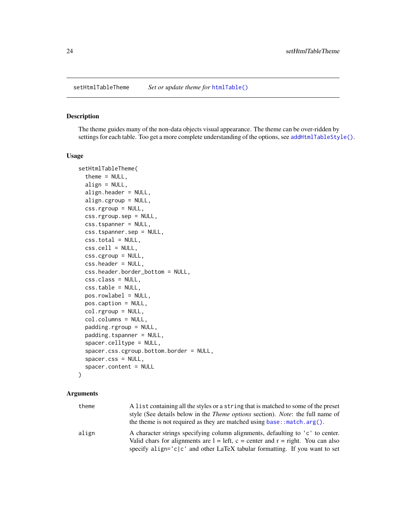<span id="page-23-1"></span><span id="page-23-0"></span>

# Description

The theme guides many of the non-data objects visual appearance. The theme can be over-ridden by settings for each table. Too get a more complete understanding of the options, see [addHtmlTableStyle\(\)](#page-1-1).

#### Usage

```
setHtmlTableTheme(
  theme = NULL,
  align = NULL,
  align.header = NULL,
  align.cgroup = NULL,
  css.rgroup = NULL,
  css.rgroup.sep = NULL,
  css.tspanner = NULL,
  css.tspanner.sep = NULL,
  css.total = NULL,
  \text{css.cell} = \text{NULL},
  css.cgroup = NULL,
  css.header = NULL,
  css.header.border_bottom = NULL,
  css.class = NULL,
  css.table = NULL,
  pos.rowlabel = NULL,
 pos.caption = NULL,
  col.rgroup = NULL,
  col.columns = NULL,
  padding.rgroup = NULL,
  padding.tspanner = NULL,
  spacer.celltype = NULL,
  spacer.css.cgroup.bottom.border = NULL,
  spacer.css = NULL,
  spacer.content = NULL
\lambda
```
#### Arguments

| theme | A list containing all the styles or a string that is matched to some of the preset<br>style (See details below in the <i>Theme options</i> section). <i>Note:</i> the full name of<br>the theme is not required as they are matched using $base::match.argv()$ . |
|-------|------------------------------------------------------------------------------------------------------------------------------------------------------------------------------------------------------------------------------------------------------------------|
| align | A character strings specifying column alignments, defaulting to 'c' to center.<br>Valid chars for alignments are $l = left$ , $c = center$ and $r = right$ . You can also<br>specify align=' $c/c'$ and other LaTeX tabular formatting. If you want to set       |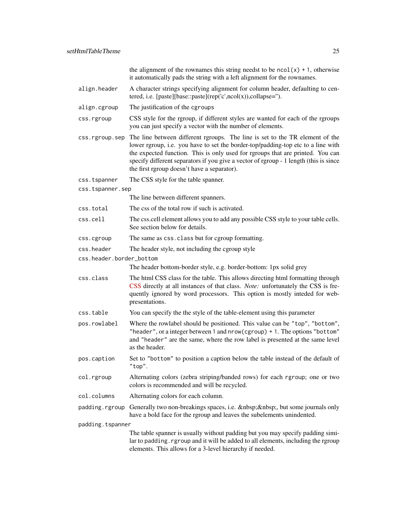the alignment of the rownames this string needst to be  $ncol(x) + 1$ , otherwise it automatically pads the string with a left alignment for the rownames.

| align.header | A character strings specifying alignment for column header, defaulting to cen- |
|--------------|--------------------------------------------------------------------------------|
|              | tered, i.e. [paste][base::paste](rep('c',ncol(x)),collapse=").                 |

align.cgroup The justification of the cgroups

css.rgroup CSS style for the rgroup, if different styles are wanted for each of the rgroups you can just specify a vector with the number of elements.

css.rgroup.sep The line between different rgroups. The line is set to the TR element of the lower rgroup, i.e. you have to set the border-top/padding-top etc to a line with the expected function. This is only used for rgroups that are printed. You can specify different separators if you give a vector of rgroup - 1 length (this is since the first rgroup doesn't have a separator).

css.tspanner The CSS style for the table spanner.

css.tspanner.sep

The line between different spanners.

- css.total The css of the total row if such is activated.
- css.cell The css.cell element allows you to add any possible CSS style to your table cells. See section below for details.
- css.cgroup The same as css.class but for cgroup formatting.
- css.header The header style, not including the cgroup style
- css.header.border\_bottom

The header bottom-border style, e.g. border-bottom: 1px solid grey

- css.class The html CSS class for the table. This allows directing html formatting through [CSS](https://www.w3schools.com/Css/) directly at all instances of that class. *Note:* unfortunately the CSS is frequently ignored by word processors. This option is mostly inteded for webpresentations.
- css.table You can specify the the style of the table-element using this parameter
- pos.rowlabel Where the rowlabel should be positioned. This value can be "top", "bottom", "header", or a integer between 1 and nrow(cgroup) + 1. The options "bottom" and "header" are the same, where the row label is presented at the same level as the header.
- pos.caption Set to "bottom" to position a caption below the table instead of the default of "top".
- col.rgroup Alternating colors (zebra striping/banded rows) for each rgroup; one or two colors is recommended and will be recycled.
- col.columns Alternating colors for each column.
- padding. rgroup Generally two non-breakings spaces, i.e. , but some journals only have a bold face for the rgroup and leaves the subelements unindented.

padding.tspanner

The table spanner is usually without padding but you may specify padding similar to padding. rgroup and it will be added to all elements, including the rgroup elements. This allows for a 3-level hierarchy if needed.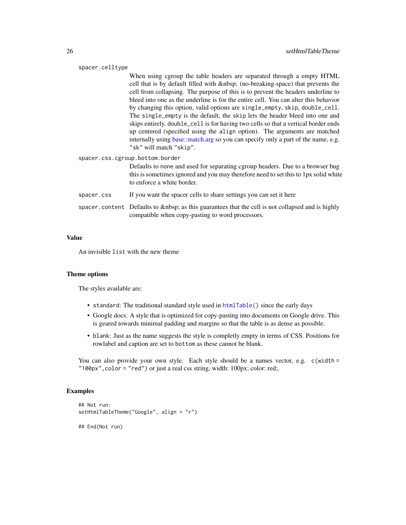#### <span id="page-25-0"></span>spacer.celltype

When using cgroup the table headers are separated through a empty HTML cell that is by default filled with (no-breaking-space) that prevents the cell from collapsing. The purpose of this is to prevent the headers underline to bleed into one as the underline is for the entire cell. You can alter this behavior by changing this option, valid options are single\_empty, skip, double\_cell. The single\_empty is the default, the skip lets the header bleed into one and skips entirely, double\_cell is for having two cells so that a vertical border ends up centered (specified using the align option). The arguments are matched internally using [base::match.arg](#page-0-0) so you can specify only a part of the name, e.g. "sk" will match "skip".

spacer.css.cgroup.bottom.border

Defaults to none and used for separating cgroup headers. Due to a browser bug this is sometimes ignored and you may therefore need to set this to 1px solid white to enforce a white border.

- spacer.css If you want the spacer cells to share settings you can set it here
- spacer.content Defaults to as this guarantees that the cell is not collapsed and is highly compatible when copy-pasting to word processors.

#### Value

An invisible list with the new theme

#### Theme options

The styles available are:

- standard: The traditional standard style used in [htmlTable\(\)](#page-8-1) since the early days
- Google docs: A style that is optimized for copy-pasting into documents on Google drive. This is geared towards minimal padding and margins so that the table is as dense as possible.
- blank: Just as the name suggests the style is completly empty in terms of CSS. Positions for rowlabel and caption are set to bottom as these cannot be blank.

You can also provide your own style. Each style should be a names vector, e.g. c(width = "100px",color = "red") or just a real css string, width: 100px; color: red;.

#### Examples

```
## Not run:
setHtmlTableTheme("Google", align = "r")
## End(Not run)
```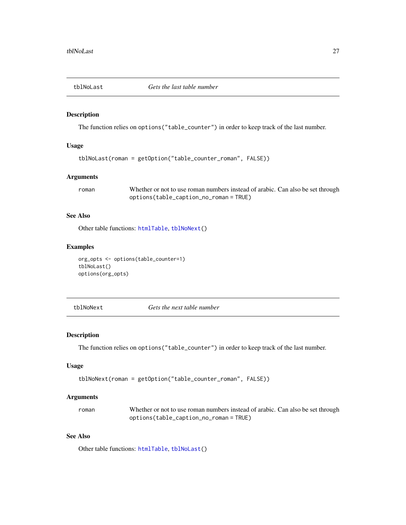<span id="page-26-1"></span><span id="page-26-0"></span>

# Description

The function relies on options("table\_counter") in order to keep track of the last number.

# Usage

```
tblNoLast(roman = getOption("table_counter_roman", FALSE))
```
#### Arguments

roman Whether or not to use roman numbers instead of arabic. Can also be set through options(table\_caption\_no\_roman = TRUE)

# See Also

Other table functions: [htmlTable](#page-8-1), [tblNoNext\(](#page-26-2))

#### Examples

```
org_opts <- options(table_counter=1)
tblNoLast()
options(org_opts)
```
<span id="page-26-2"></span>tblNoNext *Gets the next table number*

# Description

The function relies on options("table\_counter") in order to keep track of the last number.

# Usage

```
tblNoNext(roman = getOption("table_counter_roman", FALSE))
```
# Arguments

| roman | Whether or not to use roman numbers instead of arabic. Can also be set through |
|-------|--------------------------------------------------------------------------------|
|       | options(table_caption_no_roman=TRUE)                                           |

# See Also

Other table functions: [htmlTable](#page-8-1), [tblNoLast\(](#page-26-1))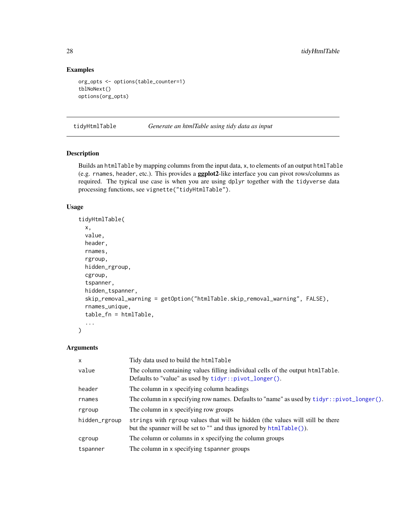# Examples

```
org_opts <- options(table_counter=1)
tblNoNext()
options(org_opts)
```
<span id="page-27-1"></span>tidyHtmlTable *Generate an htmlTable using tidy data as input*

# Description

Builds an htmlTable by mapping columns from the input data, x, to elements of an output htmlTable (e.g. rnames, header, etc.). This provides a ggplot2-like interface you can pivot rows/columns as required. The typical use case is when you are using dplyr together with the tidyverse data processing functions, see vignette("tidyHtmlTable").

# Usage

```
tidyHtmlTable(
  x,
  value,
 header,
  rnames,
  rgroup,
 hidden_rgroup,
  cgroup,
  tspanner,
  hidden_tspanner,
  skip_removal_warning = getOption("htmlTable.skip_removal_warning", FALSE),
  rnames_unique,
  table_fn = htmlTable,
  ...
)
```
#### Arguments

| $\boldsymbol{\mathsf{x}}$ | Tidy data used to build the htmlTable                                                                                                                    |
|---------------------------|----------------------------------------------------------------------------------------------------------------------------------------------------------|
| value                     | The column containing values filling individual cells of the output htmlTable.<br>Defaults to "value" as used by $tidyr::pivot_longer()$ .               |
| header                    | The column in x specifying column headings                                                                                                               |
| rnames                    | The column in x specifying row names. Defaults to "name" as used by $tidyr: pivot\_longer()$ .                                                           |
| rgroup                    | The column in x specifying row groups                                                                                                                    |
| hidden_rgroup             | strings with rgroup values that will be hidden (the values will still be there<br>but the spanner will be set to "" and thus ignored by $htmlTable()$ ). |
| cgroup                    | The column or columns in x specifying the column groups                                                                                                  |
| tspanner                  | The column in x specifying tspanner groups                                                                                                               |

<span id="page-27-0"></span>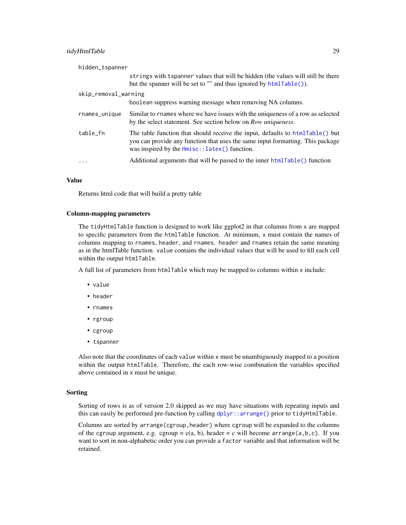# <span id="page-28-0"></span>tidyHtmlTable 29

| hidden_tspanner      |                                                                                                                                                                                                                   |
|----------------------|-------------------------------------------------------------------------------------------------------------------------------------------------------------------------------------------------------------------|
|                      | strings with tspanner values that will be hidden (the values will still be there<br>but the spanner will be set to "" and thus ignored by $htmlTable()$ ).                                                        |
| skip_removal_warning |                                                                                                                                                                                                                   |
|                      | boolean suppress warning message when removing NA columns.                                                                                                                                                        |
| rnames_unique        | Similar to rnames where we have issues with the uniqueness of a row as selected<br>by the select statement. See section below on <i>Row uniqueness</i> .                                                          |
| table_fn             | The table function that should receive the input, defaults to htmlTable() but<br>you can provide any function that uses the same input formatting. This package<br>was inspired by the $Hmisc::latex()$ function. |
| $\ddots$             | Additional arguments that will be passed to the inner htmlTable() function                                                                                                                                        |

#### Value

Returns html code that will build a pretty table

#### Column-mapping parameters

The tidyHtmlTable function is designed to work like ggplot2 in that columns from x are mapped to specific parameters from the htmlTable function. At minimum, x must contain the names of columns mapping to rnames, header, and rnames. header and rnames retain the same meaning as in the htmlTable function. value contains the individual values that will be used to fill each cell within the output htmlTable.

A full list of parameters from htmlTable which may be mapped to columns within x include:

- value
- header
- rnames
- rgroup
- cgroup
- tspanner

Also note that the coordinates of each value within x must be unambiguously mapped to a position within the output htmlTable. Therefore, the each row-wise combination the variables specified above contained in x must be unique.

#### Sorting

Sorting of rows is as of version 2.0 skipped as we may have situations with repeating inputs and this can easily be performed pre-function by calling  $d$ plyr::arrange() prior to tidyHtmlTable.

Columns are sorted by arrange(cgroup,header) where cgroup will be expanded to the columns of the cgroup argument, e.g. cgroup = c(a, b), header = c will become arrange(a, b, c). If you want to sort in non-alphabetic order you can provide a factor variable and that information will be retained.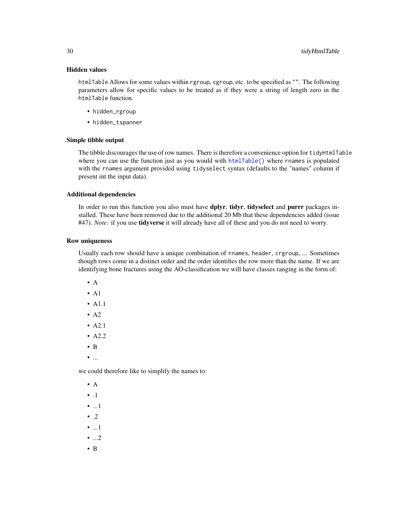#### Hidden values

htmlTable Allows for some values within rgroup, cgroup, etc. to be specified as "". The following parameters allow for specific values to be treated as if they were a string of length zero in the htmlTable function.

- hidden\_rgroup
- hidden\_tspanner

#### Simple tibble output

The tibble discourages the use of row names. There is therefore a convenience option for tidyHtmlTable where you can use the function just as you would with [htmlTable\(\)](#page-8-1) where rnames is populated with the rnames argument provided using tidyselect syntax (defaults to the "names" column if present int the input data).

#### Additional dependencies

In order to run this function you also must have dplyr, tidyr, tidyselect and purrr packages installed. These have been removed due to the additional 20 Mb that these dependencies added (issue #47). *Note:* if you use **tidyverse** it will already have all of these and you do not need to worry.

#### Row uniqueness

Usually each row should have a unique combination of rnames, header, crgroup, ... Sometimes though rows come in a distinct order and the order identifies the row more than the name. If we are identifying bone fractures using the AO-classification we will have classes ranging in the form of:

- $\bullet$  A
- $\bullet$  A1
- A1.1
- A2
- A2.1
- A2.2
- B
- ...

we could therefore like to simplify the names to:

- A
- .1
- ...1
- $\bullet$  .2
- ...1
- ...2
- B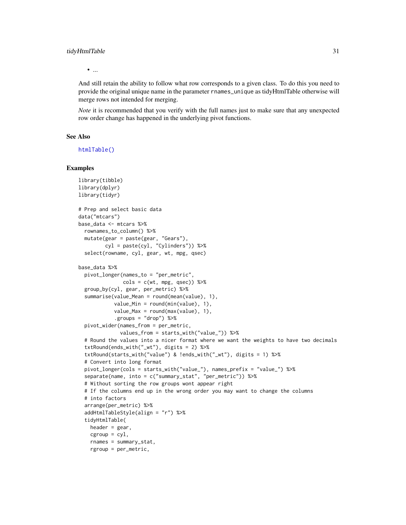#### <span id="page-30-0"></span>tidyHtmlTable 31

• ...

And still retain the ability to follow what row corresponds to a given class. To do this you need to provide the original unique name in the parameter rnames\_unique as tidyHtmlTable otherwise will merge rows not intended for merging.

*Note* it is recommended that you verify with the full names just to make sure that any unexpected row order change has happened in the underlying pivot functions.

#### See Also

[htmlTable\(\)](#page-8-1)

#### Examples

```
library(tibble)
library(dplyr)
library(tidyr)
# Prep and select basic data
data("mtcars")
base_data <- mtcars %>%
  rownames_to_column() %>%
  mutate(gear = paste(gear, "Gears"),
         cyl = paste(cyl, "Cylinders")) %>%
  select(rowname, cyl, gear, wt, mpg, qsec)
base_data %>%
  pivot_longer(names_to = "per_metric",
               \text{cols} = \text{c(wt, mpg, qsec)}) %>%
  group_by(cyl, gear, per_metric) %>%
  summarise(value_Mean = round(mean(value), 1),
            value_Min = round(min(value), 1),
            value\_Max = round(max(value), 1),.groups = "drop") %>%
  pivot_wider(names_from = per_metric,
              values_from = starts_with("value_")) %>%
  # Round the values into a nicer format where we want the weights to have two decimals
  txtRound(ends_with("_wt"), digits = 2) %>%
  txtRound(starts_with("value") & !ends_with("_wt"), digits = 1) %>%
  # Convert into long format
  pivot_longer(cols = starts_with("value_"), names_prefix = "value_") %>%
  separate(name, into = c("summary_stat", "per_metric")) %>%
  # Without sorting the row groups wont appear right
  # If the columns end up in the wrong order you may want to change the columns
  # into factors
  arrange(per_metric) %>%
  addHtmlTableStyle(align = "r") %>%
  tidyHtmlTable(
   header = gear,
   cgroup = cyl,rnames = summary_stat,
   rgroup = per_metric,
```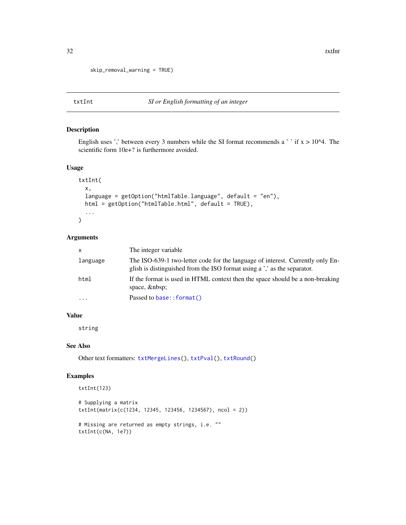```
skip_removal_warning = TRUE)
```
# <span id="page-31-1"></span>txtInt *SI or English formatting of an integer*

# Description

English uses ',' between every 3 numbers while the SI format recommends a ' ' if  $x > 10<sup>4</sup>$ . The scientific form 10e+? is furthermore avoided.

# Usage

```
txtInt(
  x,
  language = getOption("htmlTable.language", default = "en"),
 html = getOption("htmlTable.html", default = TRUE),
  ...
\mathcal{L}
```
#### Arguments

| $\mathsf{x}$ | The integer variable.                                                                                                                                    |
|--------------|----------------------------------------------------------------------------------------------------------------------------------------------------------|
| language     | The ISO-639-1 two-letter code for the language of interest. Currently only En-<br>glish is distinguished from the ISO format using a', as the separator. |
| html         | If the format is used in HTML context then the space should be a non-breaking<br>space,                                                                  |
| $\ddotsc$    | Passed to base:: format()                                                                                                                                |

#### Value

string

# See Also

Other text formatters: [txtMergeLines\(](#page-32-1)), [txtPval\(](#page-32-2)), [txtRound\(](#page-33-1))

# Examples

txtInt(123)

```
# Supplying a matrix
txtInt(matrix(c(1234, 12345, 123456, 1234567), ncol = 2))
# Missing are returned as empty strings, i.e. ""
txtInt(c(NA, 1e7))
```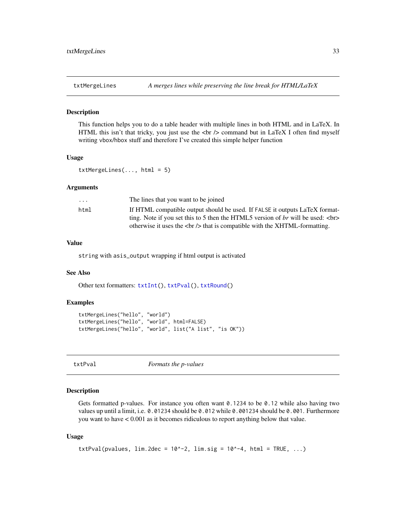<span id="page-32-1"></span><span id="page-32-0"></span>

#### Description

This function helps you to do a table header with multiple lines in both HTML and in LaTeX. In HTML this isn't that tricky, you just use the  $\langle$ br  $/$  command but in LaTeX I often find myself writing vbox/hbox stuff and therefore I've created this simple helper function

#### Usage

```
txtMergeLines(...,.html = 5)
```
#### Arguments

| $\cdot$ $\cdot$ $\cdot$ | The lines that you want to be joined                                                     |
|-------------------------|------------------------------------------------------------------------------------------|
| html                    | If HTML compatible output should be used. If FALSE it outputs LaTeX format-              |
|                         | ting. Note if you set this to 5 then the HTML5 version of br will be used: $\langle$ br> |
|                         | otherwise it uses the $\langle$ br $/$ > that is compatible with the XHTML-formatting.   |

# Value

string with asis\_output wrapping if html output is activated

#### See Also

Other text formatters: [txtInt\(](#page-31-1)), [txtPval\(](#page-32-2)), [txtRound\(](#page-33-1))

#### Examples

```
txtMergeLines("hello", "world")
txtMergeLines("hello", "world", html=FALSE)
txtMergeLines("hello", "world", list("A list", "is OK"))
```
<span id="page-32-2"></span>txtPval *Formats the p-values*

# Description

Gets formatted p-values. For instance you often want 0.1234 to be 0.12 while also having two values up until a limit, i.e. 0.01234 should be 0.012 while 0.001234 should be 0.001. Furthermore you want to have < 0.001 as it becomes ridiculous to report anything below that value.

#### Usage

```
txtPval(pvalues, \lim_{x \to a} 2 \text{dec} = 10^{-2}, \lim_{x \to a} 10^{-4}, \lim_{x \to a} 10^{-4}, \lim_{x \to a} 10^{-4}
```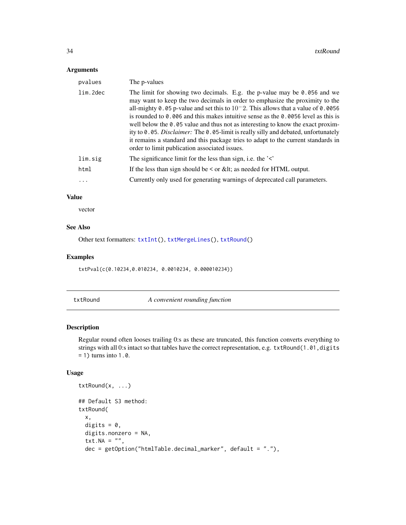# <span id="page-33-0"></span>Arguments

| pvalues  | The p-values                                                                                                                                                                                                                                                                                                                                                                                                                                                                                                                                                                                                                                                            |
|----------|-------------------------------------------------------------------------------------------------------------------------------------------------------------------------------------------------------------------------------------------------------------------------------------------------------------------------------------------------------------------------------------------------------------------------------------------------------------------------------------------------------------------------------------------------------------------------------------------------------------------------------------------------------------------------|
| lim.2dec | The limit for showing two decimals. E.g. the p-value may be 0.056 and we<br>may want to keep the two decimals in order to emphasize the proximity to the<br>all-mighty 0.05 p-value and set this to $10^{-2}$ . This allows that a value of 0.0056<br>is rounded to 0.006 and this makes intuitive sense as the 0.0056 level as this is<br>well below the $\theta$ . $\theta$ s value and thus not as interesting to know the exact proxim-<br>ity to 0.05. Disclaimer: The 0.05-limit is really silly and debated, unfortunately<br>it remains a standard and this package tries to adapt to the current standards in<br>order to limit publication associated issues. |
| lim.sig  | The significance limit for the less than sign, i.e. the $\leq$                                                                                                                                                                                                                                                                                                                                                                                                                                                                                                                                                                                                          |
| html     | If the less than sign should be $\leq$ or &It as needed for HTML output.                                                                                                                                                                                                                                                                                                                                                                                                                                                                                                                                                                                                |
| .        | Currently only used for generating warnings of deprecated call parameters.                                                                                                                                                                                                                                                                                                                                                                                                                                                                                                                                                                                              |
|          |                                                                                                                                                                                                                                                                                                                                                                                                                                                                                                                                                                                                                                                                         |

### Value

vector

# See Also

Other text formatters: [txtInt\(](#page-31-1)), [txtMergeLines\(](#page-32-1)), [txtRound\(](#page-33-1))

# Examples

txtPval(c(0.10234,0.010234, 0.0010234, 0.000010234))

<span id="page-33-1"></span>txtRound *A convenient rounding function*

# Description

Regular round often looses trailing 0:s as these are truncated, this function converts everything to strings with all 0:s intact so that tables have the correct representation, e.g. txtRound(1.01,digits)  $= 1$ ) turns into 1.0.

# Usage

```
txtRound(x, ...)
## Default S3 method:
txtRound(
 x,
 digits = 0,
 digits.nonzero = NA,
  txt.NA = ",
 dec = getOption("htmlTable.decimal_marker", default = "."),
```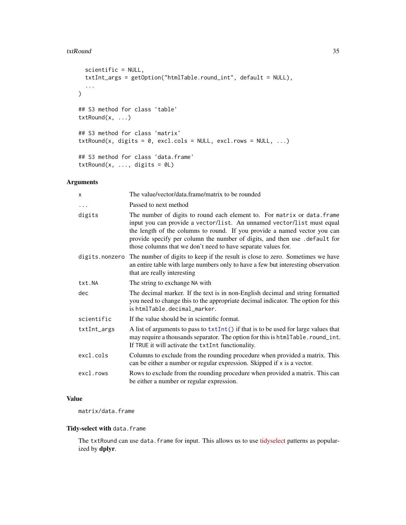#### <span id="page-34-0"></span>txtRound 35

```
scientific = NULL,
  txtInt_args = getOption("htmlTable.round_int", default = NULL),
  ...
\mathcal{L}## S3 method for class 'table'
txtRound(x, ...)
## S3 method for class 'matrix'
txtRound(x, digits = 0, excl.cols = NULL, excl.rows = NULL, ...)## S3 method for class 'data.frame'
txtRound(x, ..., digits = 0L)
```
# Arguments

| X              | The value/vector/data.frame/matrix to be rounded                                                                                                                                                                                                                                                                                                                               |  |
|----------------|--------------------------------------------------------------------------------------------------------------------------------------------------------------------------------------------------------------------------------------------------------------------------------------------------------------------------------------------------------------------------------|--|
| $\ddots$       | Passed to next method                                                                                                                                                                                                                                                                                                                                                          |  |
| digits         | The number of digits to round each element to. For matrix or data. frame<br>input you can provide a vector/list. An unnamed vector/list must equal<br>the length of the columns to round. If you provide a named vector you can<br>provide specify per column the number of digits, and then use .default for<br>those columns that we don't need to have separate values for. |  |
| digits.nonzero | The number of digits to keep if the result is close to zero. Sometimes we have<br>an entire table with large numbers only to have a few but interesting observation<br>that are really interesting                                                                                                                                                                             |  |
| txt.NA         | The string to exchange NA with                                                                                                                                                                                                                                                                                                                                                 |  |
| dec            | The decimal marker. If the text is in non-English decimal and string formatted<br>you need to change this to the appropriate decimal indicator. The option for this<br>is htmlTable.decimal marker.                                                                                                                                                                            |  |
| scientific     | If the value should be in scientific format.                                                                                                                                                                                                                                                                                                                                   |  |
| txtInt_args    | A list of arguments to pass to $txtInt()$ if that is to be used for large values that<br>may require a thousands separator. The option for this is htmlTable.round_int.<br>If TRUE it will activate the txtInt functionality.                                                                                                                                                  |  |
| excl.cols      | Columns to exclude from the rounding procedure when provided a matrix. This<br>can be either a number or regular expression. Skipped if x is a vector.                                                                                                                                                                                                                         |  |
| excl.rows      | Rows to exclude from the rounding procedure when provided a matrix. This can<br>be either a number or regular expression.                                                                                                                                                                                                                                                      |  |
|                |                                                                                                                                                                                                                                                                                                                                                                                |  |

# Value

matrix/data.frame

#### Tidy-select with data.frame

The txtRound can use data.frame for input. This allows us to use [tidyselect](https://tidyselect.r-lib.org/articles/tidyselect.html) patterns as popularized by dplyr.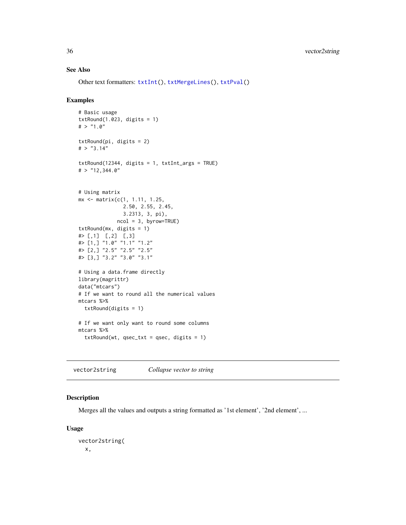# See Also

Other text formatters: [txtInt\(](#page-31-1)), [txtMergeLines\(](#page-32-1)), [txtPval\(](#page-32-2))

#### Examples

```
# Basic usage
txtRound(1.023, digits = 1)
# > "1.0"txtRound(pi, digits = 2)
# > "3.14"
txtRound(12344, digits = 1, txtInt_args = TRUE)
# > "12,344.0"
# Using matrix
mx <- matrix(c(1, 1.11, 1.25,
               2.50, 2.55, 2.45,
               3.2313, 3, pi),
             ncol = 3, byrow=TRUE)
txtRound(mx, digits = 1)
# [,1] [,2] [,3]
#> [1,] "1.0" "1.1" "1.2"
#> [2,] "2.5" "2.5" "2.5"
#> [3,] "3.2" "3.0" "3.1"
# Using a data.frame directly
library(magrittr)
data("mtcars")
# If we want to round all the numerical values
mtcars %>%
  txtRound(digits = 1)
# If we want only want to round some columns
mtcars %>%
  txtRound(wt, qsec_txt = qsec, digits = 1)
```
vector2string *Collapse vector to string*

# Description

Merges all the values and outputs a string formatted as '1st element', '2nd element', ...

#### Usage

```
vector2string(
 x,
```
<span id="page-35-0"></span>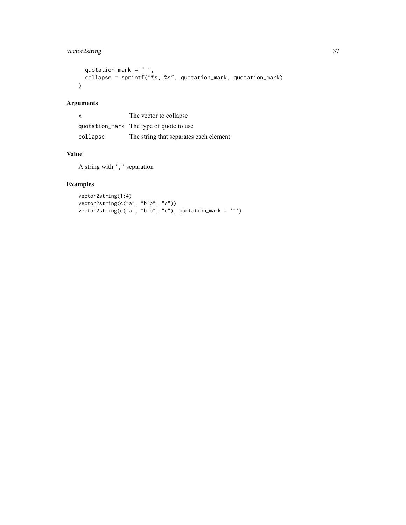# vector2string 37

```
quotation_mark = "'',
 collapse = sprintf("%s, %s", quotation_mark, quotation_mark)
\lambda
```
# Arguments

| $\mathsf{x}$ | The vector to collapse                  |
|--------------|-----------------------------------------|
|              | quotation_mark The type of quote to use |
| collapse     | The string that separates each element  |

# Value

A string with ',' separation

# Examples

```
vector2string(1:4)
vector2string(c("a", "b'b", "c"))
vector2string(c("a", "b'b", "c"), quotation_mark = '"')
```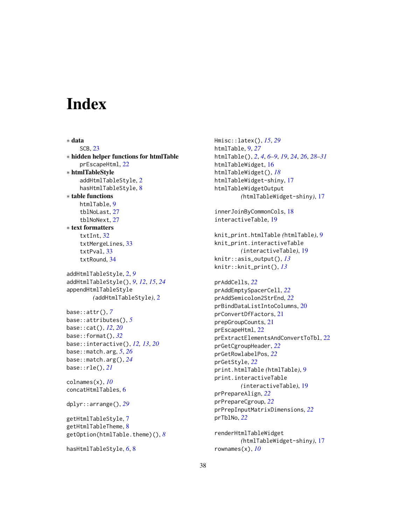# <span id="page-37-0"></span>**Index**

∗ data SCB, [23](#page-22-0) ∗ hidden helper functions for htmlTable prEscapeHtml, [22](#page-21-0) ∗ htmlTableStyle addHtmlTableStyle, [2](#page-1-0) hasHtmlTableStyle, [8](#page-7-0) ∗ table functions htmlTable, [9](#page-8-0) tblNoLast, [27](#page-26-0) tblNoNext, [27](#page-26-0) ∗ text formatters txtInt, [32](#page-31-0) txtMergeLines, [33](#page-32-0) txtPval, [33](#page-32-0) txtRound, [34](#page-33-0) addHtmlTableStyle, [2,](#page-1-0) *[9](#page-8-0)* addHtmlTableStyle(), *[9](#page-8-0)*, *[12](#page-11-0)*, *[15](#page-14-0)*, *[24](#page-23-0)* appendHtmlTableStyle *(*addHtmlTableStyle*)*, [2](#page-1-0) base::attr(), *[7](#page-6-0)* base::attributes(), *[5](#page-4-0)* base::cat(), *[12](#page-11-0)*, *[20](#page-19-0)* base::format(), *[32](#page-31-0)* base::interactive(), *[12,](#page-11-0) [13](#page-12-0)*, *[20](#page-19-0)* base::match.arg, *[5](#page-4-0)*, *[26](#page-25-0)* base::match.arg(), *[24](#page-23-0)* base::rle(), *[21](#page-20-0)* colnames(x), *[10](#page-9-0)* concatHtmlTables, [6](#page-5-0) dplyr::arrange(), *[29](#page-28-0)* getHtmlTableStyle, [7](#page-6-0) getHtmlTableTheme, [8](#page-7-0) getOption(htmlTable.theme)(), *[8](#page-7-0)*

```
hasHtmlTableStyle, 6, 8
```
Hmisc::latex(), *[15](#page-14-0)*, *[29](#page-28-0)* htmlTable, [9,](#page-8-0) *[27](#page-26-0)* htmlTable(), *[2](#page-1-0)*, *[4](#page-3-0)*, *[6](#page-5-0)[–9](#page-8-0)*, *[19](#page-18-0)*, *[24](#page-23-0)*, *[26](#page-25-0)*, *[28](#page-27-0)[–31](#page-30-0)* htmlTableWidget, [16](#page-15-0) htmlTableWidget(), *[18](#page-17-0)* htmlTableWidget-shiny, [17](#page-16-0) htmlTableWidgetOutput *(*htmlTableWidget-shiny*)*, [17](#page-16-0) innerJoinByCommonCols, [18](#page-17-0) interactiveTable, [19](#page-18-0) knit\_print.htmlTable *(*htmlTable*)*, [9](#page-8-0) knit\_print.interactiveTable *(*interactiveTable*)*, [19](#page-18-0) knitr::asis\_output(), *[13](#page-12-0)* knitr::knit\_print(), *[13](#page-12-0)* prAddCells, *[22](#page-21-0)* prAddEmptySpacerCell, *[22](#page-21-0)* prAddSemicolon2StrEnd, *[22](#page-21-0)* prBindDataListIntoColumns, [20](#page-19-0) prConvertDfFactors, [21](#page-20-0) prepGroupCounts, [21](#page-20-0) prEscapeHtml, [22](#page-21-0) prExtractElementsAndConvertToTbl, [22](#page-21-0) prGetCgroupHeader, *[22](#page-21-0)* prGetRowlabelPos, *[22](#page-21-0)* prGetStyle, *[22](#page-21-0)* print.htmlTable *(*htmlTable*)*, [9](#page-8-0) print.interactiveTable *(*interactiveTable*)*, [19](#page-18-0) prPrepareAlign, *[22](#page-21-0)* prPrepareCgroup, *[22](#page-21-0)* prPrepInputMatrixDimensions, *[22](#page-21-0)*

renderHtmlTableWidget *(*htmlTableWidget-shiny*)*, [17](#page-16-0) rownames(x), *[10](#page-9-0)*

prTblNo, *[22](#page-21-0)*